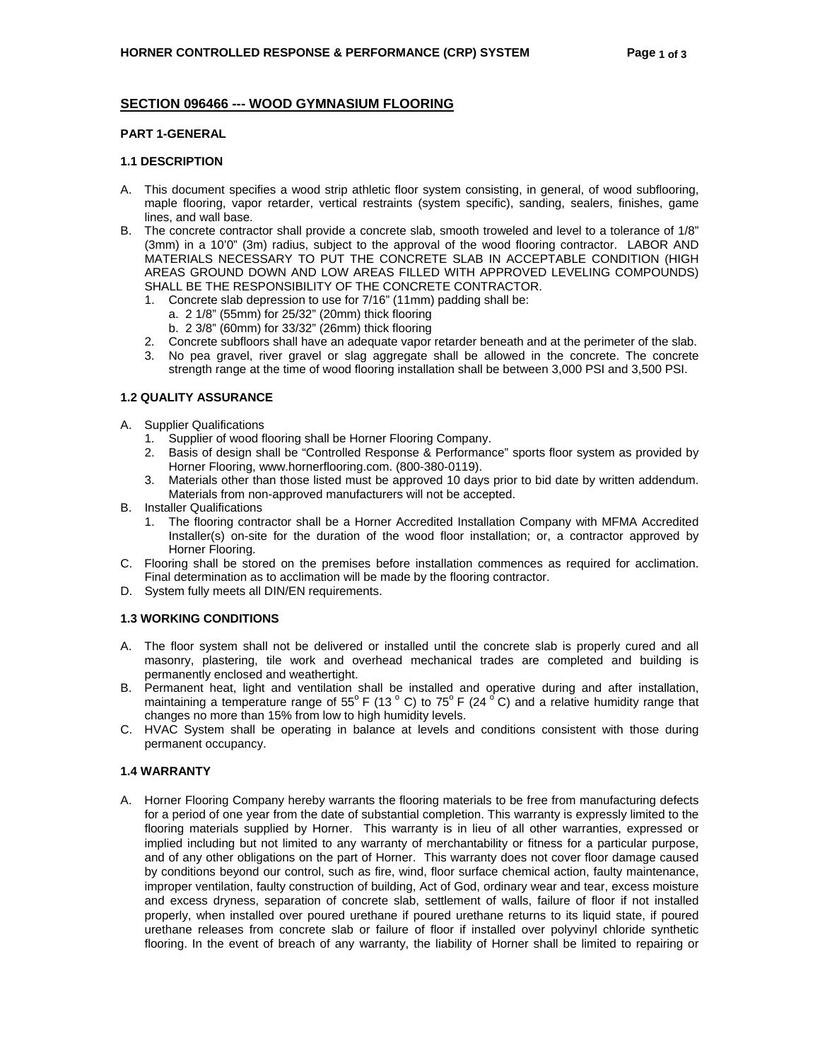# **SECTION 096466 --- WOOD GYMNASIUM FLOORING**

# **PART 1-GENERAL**

# **1.1 DESCRIPTION**

- A. This document specifies a wood strip athletic floor system consisting, in general, of wood subflooring, maple flooring, vapor retarder, vertical restraints (system specific), sanding, sealers, finishes, game lines, and wall base.
- B. The concrete contractor shall provide a concrete slab, smooth troweled and level to a tolerance of 1/8" (3mm) in a 10'0" (3m) radius, subject to the approval of the wood flooring contractor. LABOR AND MATERIALS NECESSARY TO PUT THE CONCRETE SLAB IN ACCEPTABLE CONDITION (HIGH AREAS GROUND DOWN AND LOW AREAS FILLED WITH APPROVED LEVELING COMPOUNDS) SHALL BE THE RESPONSIBILITY OF THE CONCRETE CONTRACTOR.
	- 1. Concrete slab depression to use for 7/16" (11mm) padding shall be:
		- a. 2 1/8" (55mm) for 25/32" (20mm) thick flooring
		- b. 2 3/8" (60mm) for 33/32" (26mm) thick flooring
	- 2. Concrete subfloors shall have an adequate vapor retarder beneath and at the perimeter of the slab.
	- 3. No pea gravel, river gravel or slag aggregate shall be allowed in the concrete. The concrete strength range at the time of wood flooring installation shall be between 3,000 PSI and 3,500 PSI.

# **1.2 QUALITY ASSURANCE**

# A. Supplier Qualifications

- 1. Supplier of wood flooring shall be Horner Flooring Company.
- 2. Basis of design shall be "Controlled Response & Performance" sports floor system as provided by Horner Flooring, www.hornerflooring.com. (800-380-0119).
- 3. Materials other than those listed must be approved 10 days prior to bid date by written addendum. Materials from non-approved manufacturers will not be accepted.
- B. Installer Qualifications
	- 1. The flooring contractor shall be a Horner Accredited Installation Company with MFMA Accredited Installer(s) on-site for the duration of the wood floor installation; or, a contractor approved by Horner Flooring.
- C. Flooring shall be stored on the premises before installation commences as required for acclimation. Final determination as to acclimation will be made by the flooring contractor.
- D. System fully meets all DIN/EN requirements.

# **1.3 WORKING CONDITIONS**

- A. The floor system shall not be delivered or installed until the concrete slab is properly cured and all masonry, plastering, tile work and overhead mechanical trades are completed and building is permanently enclosed and weathertight.
- B. Permanent heat, light and ventilation shall be installed and operative during and after installation, maintaining a temperature range of 55 $^{\circ}$  F (13  $^{\circ}$  C) to 75 $^{\circ}$  F (24  $^{\circ}$  C) and a relative humidity range that changes no more than 15% from low to high humidity levels.
- C. HVAC System shall be operating in balance at levels and conditions consistent with those during permanent occupancy.

# **1.4 WARRANTY**

A. Horner Flooring Company hereby warrants the flooring materials to be free from manufacturing defects for a period of one year from the date of substantial completion. This warranty is expressly limited to the flooring materials supplied by Horner. This warranty is in lieu of all other warranties, expressed or implied including but not limited to any warranty of merchantability or fitness for a particular purpose, and of any other obligations on the part of Horner. This warranty does not cover floor damage caused by conditions beyond our control, such as fire, wind, floor surface chemical action, faulty maintenance, improper ventilation, faulty construction of building, Act of God, ordinary wear and tear, excess moisture and excess dryness, separation of concrete slab, settlement of walls, failure of floor if not installed properly, when installed over poured urethane if poured urethane returns to its liquid state, if poured urethane releases from concrete slab or failure of floor if installed over polyvinyl chloride synthetic flooring. In the event of breach of any warranty, the liability of Horner shall be limited to repairing or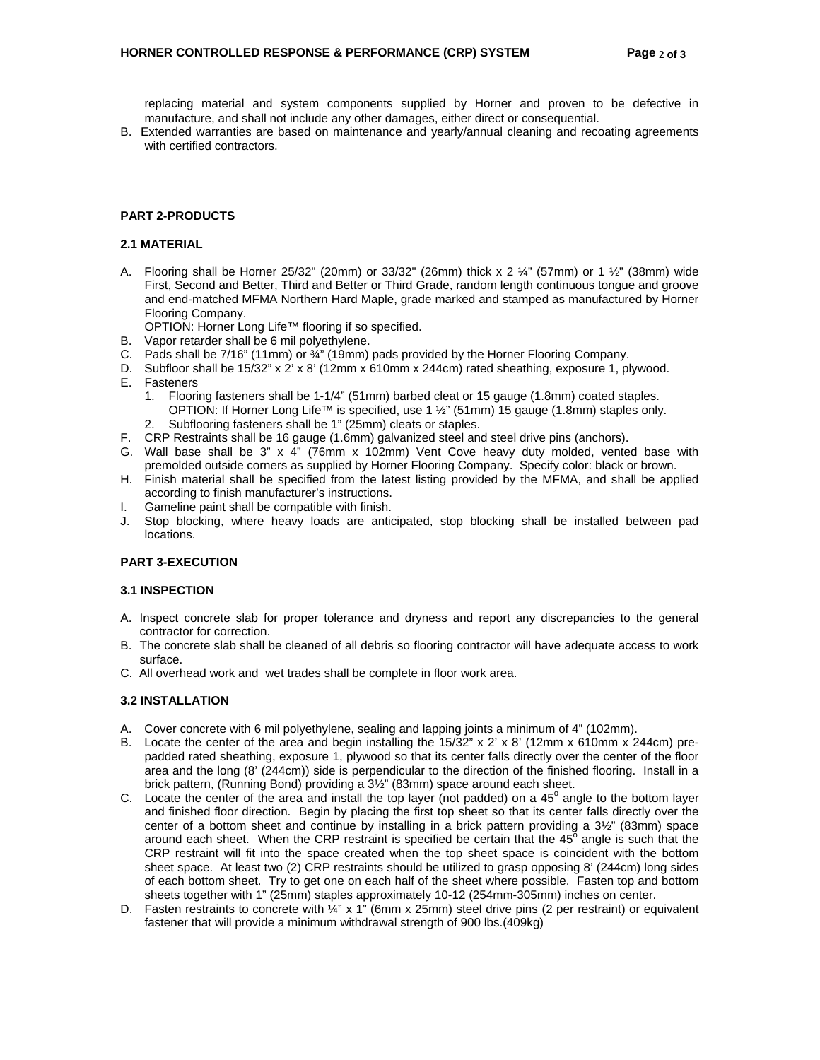replacing material and system components supplied by Horner and proven to be defective in manufacture, and shall not include any other damages, either direct or consequential.

B. Extended warranties are based on maintenance and yearly/annual cleaning and recoating agreements with certified contractors.

# **PART 2-PRODUCTS**

#### **2.1 MATERIAL**

A. Flooring shall be Horner 25/32" (20mm) or  $33/32$ " (26mm) thick x 2  $\frac{1}{4}$ " (57mm) or 1  $\frac{1}{2}$ " (38mm) wide First, Second and Better, Third and Better or Third Grade, random length continuous tongue and groove and end-matched MFMA Northern Hard Maple, grade marked and stamped as manufactured by Horner Flooring Company.

OPTION: Horner Long Life™ flooring if so specified.

- B. Vapor retarder shall be 6 mil polyethylene.
- C. Pads shall be 7/16" (11mm) or ¾" (19mm) pads provided by the Horner Flooring Company.
- D. Subfloor shall be 15/32" x 2' x 8' (12mm x 610mm x 244cm) rated sheathing, exposure 1, plywood. E. Fasteners
	- 1. Flooring fasteners shall be 1-1/4" (51mm) barbed cleat or 15 gauge (1.8mm) coated staples. OPTION: If Horner Long Life™ is specified, use 1 ½" (51mm) 15 gauge (1.8mm) staples only. 2. Subflooring fasteners shall be 1" (25mm) cleats or staples.
- F. CRP Restraints shall be 16 gauge (1.6mm) galvanized steel and steel drive pins (anchors).
- G. Wall base shall be 3" x  $\vec{4}$ " (76mm x 102mm) Vent Cove heavy duty molded, vented base with premolded outside corners as supplied by Horner Flooring Company. Specify color: black or brown.
- H. Finish material shall be specified from the latest listing provided by the MFMA, and shall be applied according to finish manufacturer's instructions.
- I. Gameline paint shall be compatible with finish.
- J. Stop blocking, where heavy loads are anticipated, stop blocking shall be installed between pad locations.

# **PART 3-EXECUTION**

#### **3.1 INSPECTION**

- A. Inspect concrete slab for proper tolerance and dryness and report any discrepancies to the general contractor for correction.
- B. The concrete slab shall be cleaned of all debris so flooring contractor will have adequate access to work surface.
- C. All overhead work and wet trades shall be complete in floor work area.

#### **3.2 INSTALLATION**

- A. Cover concrete with 6 mil polyethylene, sealing and lapping joints a minimum of 4" (102mm).
- B. Locate the center of the area and begin installing the  $15/32$ " x 2' x 8' (12mm x 610mm x 244cm) prepadded rated sheathing, exposure 1, plywood so that its center falls directly over the center of the floor area and the long (8' (244cm)) side is perpendicular to the direction of the finished flooring. Install in a brick pattern, (Running Bond) providing a 3½" (83mm) space around each sheet.
- C. Locate the center of the area and install the top layer (not padded) on a  $45^\circ$  angle to the bottom layer and finished floor direction. Begin by placing the first top sheet so that its center falls directly over the center of a bottom sheet and continue by installing in a brick pattern providing a 3½" (83mm) space around each sheet. When the CRP restraint is specified be certain that the  $45^{\circ}$  angle is such that the CRP restraint will fit into the space created when the top sheet space is coincident with the bottom sheet space. At least two (2) CRP restraints should be utilized to grasp opposing 8' (244cm) long sides of each bottom sheet. Try to get one on each half of the sheet where possible. Fasten top and bottom sheets together with 1" (25mm) staples approximately 10-12 (254mm-305mm) inches on center.
- D. Fasten restraints to concrete with ¼" x 1" (6mm x 25mm) steel drive pins (2 per restraint) or equivalent fastener that will provide a minimum withdrawal strength of 900 lbs.(409kg)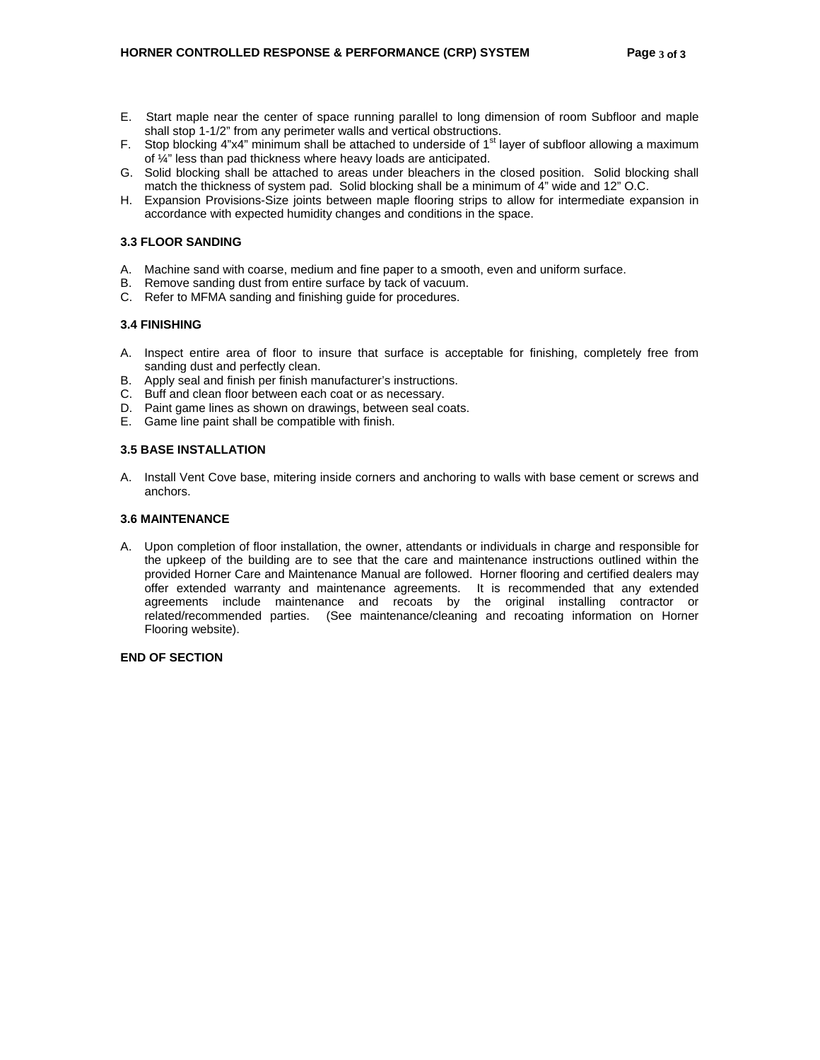- E. Start maple near the center of space running parallel to long dimension of room Subfloor and maple shall stop 1-1/2" from any perimeter walls and vertical obstructions.
- F. Stop blocking 4"x4" minimum shall be attached to underside of  $1<sup>st</sup>$  layer of subfloor allowing a maximum of ¼" less than pad thickness where heavy loads are anticipated.
- G. Solid blocking shall be attached to areas under bleachers in the closed position. Solid blocking shall match the thickness of system pad. Solid blocking shall be a minimum of 4" wide and 12" O.C.
- H. Expansion Provisions-Size joints between maple flooring strips to allow for intermediate expansion in accordance with expected humidity changes and conditions in the space.

# **3.3 FLOOR SANDING**

- A. Machine sand with coarse, medium and fine paper to a smooth, even and uniform surface.
- B. Remove sanding dust from entire surface by tack of vacuum.
- C. Refer to MFMA sanding and finishing guide for procedures.

# **3.4 FINISHING**

- A. Inspect entire area of floor to insure that surface is acceptable for finishing, completely free from sanding dust and perfectly clean.
- B. Apply seal and finish per finish manufacturer's instructions.
- C. Buff and clean floor between each coat or as necessary.
- D. Paint game lines as shown on drawings, between seal coats.
- E. Game line paint shall be compatible with finish.

# **3.5 BASE INSTALLATION**

A. Install Vent Cove base, mitering inside corners and anchoring to walls with base cement or screws and anchors.

# **3.6 MAINTENANCE**

A. Upon completion of floor installation, the owner, attendants or individuals in charge and responsible for the upkeep of the building are to see that the care and maintenance instructions outlined within the provided Horner Care and Maintenance Manual are followed. Horner flooring and certified dealers may offer extended warranty and maintenance agreements. It is recommended that any extended agreements include maintenance and recoats by the original installing contractor or related/recommended parties. (See maintenance/cleaning and recoating information on Horner Flooring website).

#### **END OF SECTION**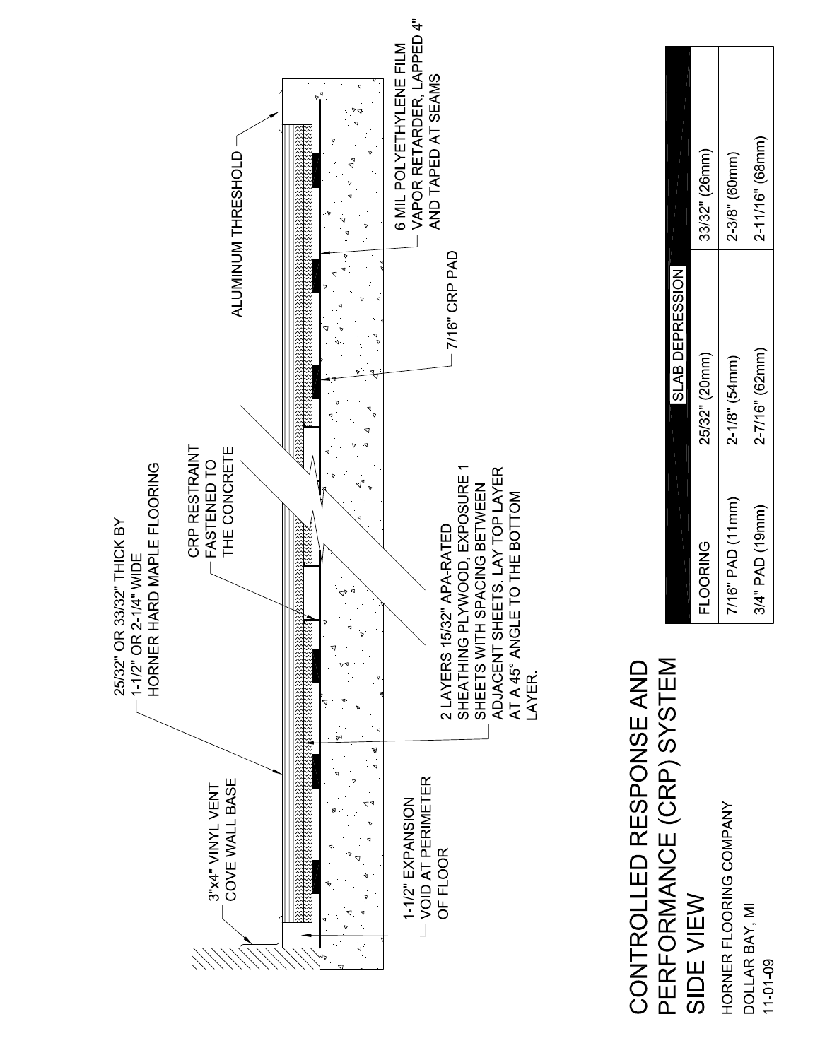

# PERFORMANCE (CRP) SYSTEM CONTROLLED RESPONSE AND SIDE VIEW

HORNER FLOORING COMPANY DOLLAR BAY, MI  $11 - 01 - 09$ 

|                  | SLAB DEPRESSION     |                   |
|------------------|---------------------|-------------------|
| <b>FLOORING</b>  | 25/32" (20mm)       | 33/32" (26mm)     |
| 7/16" PAD (11mm) | $2 - 1/8$ " (54 mm) | $2 - 3/8"$ (60mm) |
| 3/4" PAD (19mm)  | 2-7/16" (62mm)      | 2 11/16" (68mm)   |